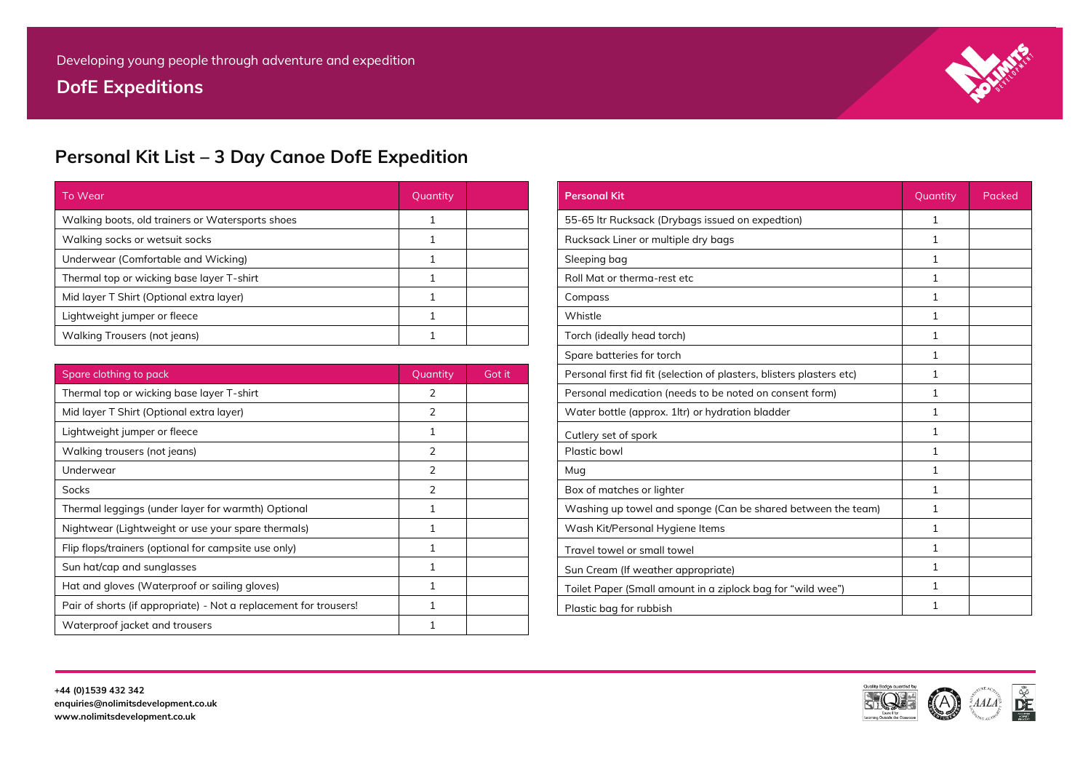# **DofE Expeditions**



# **Personal Kit List – 3 Day Canoe DofE Expedition**

| To Wear                                          | Quantity |  |
|--------------------------------------------------|----------|--|
| Walking boots, old trainers or Watersports shoes |          |  |
| Walking socks or wetsuit socks                   |          |  |
| Underwear (Comfortable and Wicking)              |          |  |
| Thermal top or wicking base layer T-shirt        |          |  |
| Mid layer T Shirt (Optional extra layer)         |          |  |
| Lightweight jumper or fleece                     |          |  |
| Walking Trousers (not jeans)                     |          |  |

| <b>Personal Kit</b>                                                   | Quantity     | Packed |
|-----------------------------------------------------------------------|--------------|--------|
| 55-65 Itr Rucksack (Drybags issued on expedtion)                      | $\mathbf{1}$ |        |
| Rucksack Liner or multiple dry bags                                   | 1            |        |
| Sleeping bag                                                          | $\mathbf{1}$ |        |
| Roll Mat or therma-rest etc                                           | $\mathbf{1}$ |        |
| Compass                                                               | $\mathbf{1}$ |        |
| Whistle                                                               | 1            |        |
| Torch (ideally head torch)                                            | $\mathbf{1}$ |        |
| Spare batteries for torch                                             | $\mathbf{1}$ |        |
| Personal first fid fit (selection of plasters, blisters plasters etc) | 1            |        |
| Personal medication (needs to be noted on consent form)               | $\mathbf{1}$ |        |
| Water bottle (approx. 1ltr) or hydration bladder                      | $\mathbf{1}$ |        |
| Cutlery set of spork                                                  | $\mathbf{1}$ |        |
| Plastic bowl                                                          | $\mathbf{1}$ |        |
| Mug                                                                   | 1            |        |
| Box of matches or lighter                                             | $\mathbf{1}$ |        |
| Washing up towel and sponge (Can be shared between the team)          | $\mathbf{1}$ |        |
| Wash Kit/Personal Hygiene Items                                       | 1            |        |
| Travel towel or small towel                                           | $\mathbf{1}$ |        |
| Sun Cream (If weather appropriate)                                    | $\mathbf{1}$ |        |
| Toilet Paper (Small amount in a ziplock bag for "wild wee")           | $\mathbf{1}$ |        |
| Plastic bag for rubbish                                               | $\mathbf{1}$ |        |